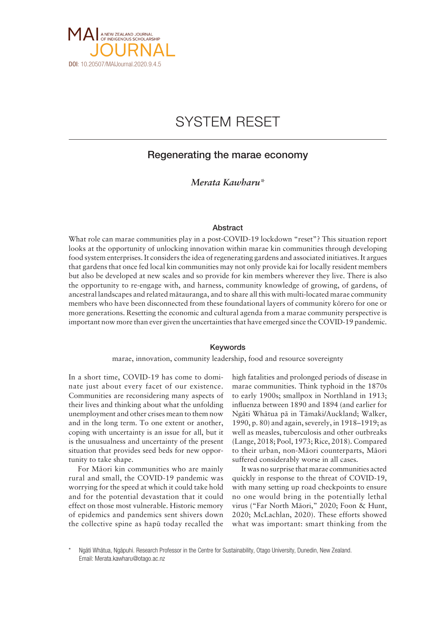

# SYSTEM RESET

## Regenerating the marae economy

## *Merata Kawharu\**

#### Abstract

What role can marae communities play in a post-COVID-19 lockdown "reset"? This situation report looks at the opportunity of unlocking innovation within marae kin communities through developing food system enterprises. It considers the idea of regenerating gardens and associated initiatives. It argues that gardens that once fed local kin communities may not only provide kai for locally resident members but also be developed at new scales and so provide for kin members wherever they live. There is also the opportunity to re-engage with, and harness, community knowledge of growing, of gardens, of ancestral landscapes and related mätauranga, and to share all this with multi-located marae community members who have been disconnected from these foundational layers of community körero for one or more generations. Resetting the economic and cultural agenda from a marae community perspective is important now more than ever given the uncertainties that have emerged since the COVID-19 pandemic.

### Keywords

marae, innovation, community leadership, food and resource sovereignty

In a short time, COVID-19 has come to dominate just about every facet of our existence. Communities are reconsidering many aspects of their lives and thinking about what the unfolding unemployment and other crises mean to them now and in the long term. To one extent or another, coping with uncertainty is an issue for all, but it is the unusualness and uncertainty of the present situation that provides seed beds for new opportunity to take shape.

For Mäori kin communities who are mainly rural and small, the COVID-19 pandemic was worrying for the speed at which it could take hold and for the potential devastation that it could effect on those most vulnerable. Historic memory of epidemics and pandemics sent shivers down the collective spine as hapü today recalled the

high fatalities and prolonged periods of disease in marae communities. Think typhoid in the 1870s to early 1900s; smallpox in Northland in 1913; influenza between 1890 and 1894 (and earlier for Ngäti Whätua pä in Tämaki/Auckland; Walker, 1990, p. 80) and again, severely, in 1918–1919; as well as measles, tuberculosis and other outbreaks (Lange, 2018; Pool, 1973; Rice, 2018). Compared to their urban, non-Mäori counterparts, Mäori suffered considerably worse in all cases.

It was no surprise that marae communities acted quickly in response to the threat of COVID-19, with many setting up road checkpoints to ensure no one would bring in the potentially lethal virus ("Far North Mäori," 2020; Foon & Hunt, 2020; McLachlan, 2020). These efforts showed what was important: smart thinking from the

Ngāti Whātua, Ngāpuhi. Research Professor in the Centre for Sustainability, Otago University, Dunedin, New Zealand. Email: [Merata.kawharu@otago.ac.nz](mailto:Merata.kawharu@otago.ac.nz)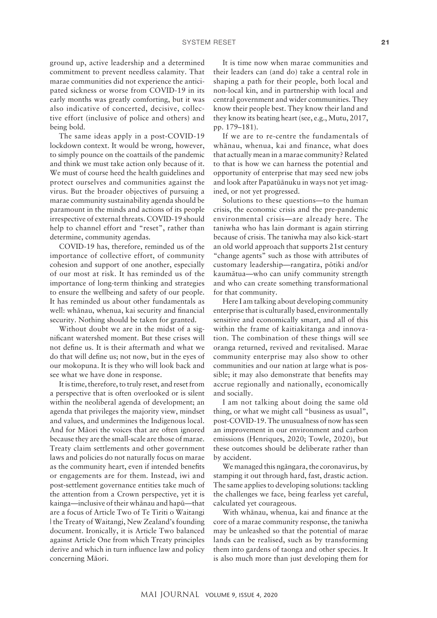ground up, active leadership and a determined commitment to prevent needless calamity. That marae communities did not experience the anticipated sickness or worse from COVID-19 in its early months was greatly comforting, but it was also indicative of concerted, decisive, collective effort (inclusive of police and others) and being bold.

The same ideas apply in a post-COVID-19 lockdown context. It would be wrong, however, to simply pounce on the coattails of the pandemic and think we must take action only because of it. We must of course heed the health guidelines and protect ourselves and communities against the virus. But the broader objectives of pursuing a marae community sustainability agenda should be paramount in the minds and actions of its people irrespective of external threats. COVID-19 should help to channel effort and "reset", rather than determine, community agendas.

COVID-19 has, therefore, reminded us of the importance of collective effort, of community cohesion and support of one another, especially of our most at risk. It has reminded us of the importance of long-term thinking and strategies to ensure the wellbeing and safety of our people. It has reminded us about other fundamentals as well: whänau, whenua, kai security and financial security. Nothing should be taken for granted.

Without doubt we are in the midst of a significant watershed moment. But these crises will not define us. It is their aftermath and what we do that will define us; not now, but in the eyes of our mokopuna. It is they who will look back and see what we have done in response.

It is time, therefore, to truly reset, and reset from a perspective that is often overlooked or is silent within the neoliberal agenda of development; an agenda that privileges the majority view, mindset and values, and undermines the Indigenous local. And for Mäori the voices that are often ignored because they are the small-scale are those of marae. Treaty claim settlements and other government laws and policies do not naturally focus on marae as the community heart, even if intended benefits or engagements are for them. Instead, iwi and post-settlement governance entities take much of the attention from a Crown perspective, yet it is kainga—inclusive of their whänau and hapü—that are a focus of Article Two of Te Tiriti o Waitangi | the Treaty of Waitangi, New Zealand's founding document. Ironically, it is Article Two balanced against Article One from which Treaty principles derive and which in turn influence law and policy concerning Mäori.

It is time now when marae communities and their leaders can (and do) take a central role in shaping a path for their people, both local and non-local kin, and in partnership with local and central government and wider communities. They know their people best. They know their land and they know its beating heart (see, e.g., Mutu, 2017, pp. 179–181).

If we are to re-centre the fundamentals of whänau, whenua, kai and finance, what does that actually mean in a marae community? Related to that is how we can harness the potential and opportunity of enterprise that may seed new jobs and look after Papatüänuku in ways not yet imagined, or not yet progressed.

Solutions to these questions—to the human crisis, the economic crisis and the pre-pandemic environmental crisis—are already here. The taniwha who has lain dormant is again stirring because of crisis. The taniwha may also kick-start an old world approach that supports 21st century "change agents" such as those with attributes of customary leadership—rangatira, pötiki and/or kaumätua—who can unify community strength and who can create something transformational for that community.

Here I am talking about developing community enterprise that is culturally based, environmentally sensitive and economically smart, and all of this within the frame of kaitiakitanga and innovation. The combination of these things will see oranga returned, revived and revitalised. Marae community enterprise may also show to other communities and our nation at large what is possible; it may also demonstrate that benefits may accrue regionally and nationally, economically and socially.

I am not talking about doing the same old thing, or what we might call "business as usual", post-COVID-19. The unusualness of now has seen an improvement in our environment and carbon emissions (Henriques, 2020; Towle, 2020), but these outcomes should be deliberate rather than by accident.

We managed this ngängara, the coronavirus, by stamping it out through hard, fast, drastic action. The same applies to developing solutions: tackling the challenges we face, being fearless yet careful, calculated yet courageous.

With whänau, whenua, kai and finance at the core of a marae community response, the taniwha may be unleashed so that the potential of marae lands can be realised, such as by transforming them into gardens of taonga and other species. It is also much more than just developing them for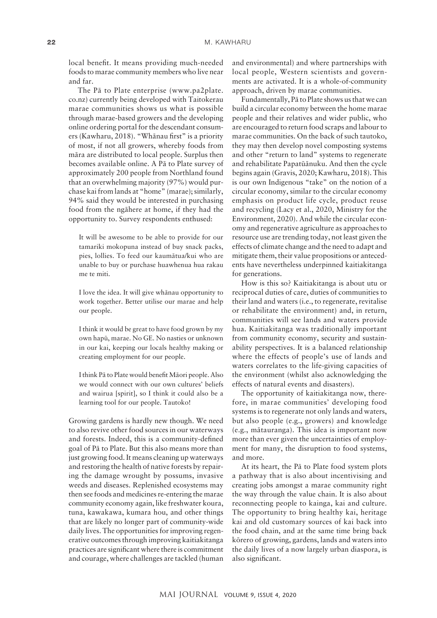local benefit. It means providing much-needed foods to marae community members who live near and far.

The Pä to Plate enterprise [\(www.pa2plate.](http://www.pa2plate.co.nz) [co.nz](http://www.pa2plate.co.nz)) currently being developed with Taitokerau marae communities shows us what is possible through marae-based growers and the developing online ordering portal for the descendant consumers (Kawharu, 2018). "Whänau first" is a priority of most, if not all growers, whereby foods from mära are distributed to local people. Surplus then becomes available online. A Pä to Plate survey of approximately 200 people from Northland found that an overwhelming majority (97%) would purchase kai from lands at "home" (marae); similarly, 94% said they would be interested in purchasing food from the ngähere at home, if they had the opportunity to. Survey respondents enthused:

It will be awesome to be able to provide for our tamariki mokopuna instead of buy snack packs, pies, lollies. To feed our kaumätua/kui who are unable to buy or purchase huawhenua hua rakau me te miti.

I love the idea. It will give whänau opportunity to work together. Better utilise our marae and help our people.

I think it would be great to have food grown by my own hapü, marae. No GE. No nasties or unknown in our kai, keeping our locals healthy making or creating employment for our people.

I think Pä to Plate would benefit Mäori people. Also we would connect with our own cultures' beliefs and wairua [spirit], so I think it could also be a learning tool for our people. Tautoko!

Growing gardens is hardly new though. We need to also revive other food sources in our waterways and forests. Indeed, this is a community-defined goal of Pä to Plate. But this also means more than just growing food. It means cleaning up waterways and restoring the health of native forests by repairing the damage wrought by possums, invasive weeds and diseases. Replenished ecosystems may then see foods and medicines re-entering the marae community economy again, like freshwater koura, tuna, kawakawa, kumara hou, and other things that are likely no longer part of community-wide daily lives. The opportunities for improving regenerative outcomes through improving kaitiakitanga practices are significant where there is commitment and courage, where challenges are tackled (human

and environmental) and where partnerships with local people, Western scientists and governments are activated. It is a whole-of-community approach, driven by marae communities.

Fundamentally, Pä to Plate shows us that we can build a circular economy between the home marae people and their relatives and wider public, who are encouraged to return food scraps and labour to marae communities. On the back of such tautoko, they may then develop novel composting systems and other "return to land" systems to regenerate and rehabilitate Papatüänuku. And then the cycle begins again (Gravis, 2020; Kawharu, 2018). This is our own Indigenous "take" on the notion of a circular economy, similar to the circular economy emphasis on product life cycle, product reuse and recycling (Lacy et al., 2020, Ministry for the Environment, 2020). And while the circular economy and regenerative agriculture as approaches to resource use are trending today, not least given the effects of climate change and the need to adapt and mitigate them, their value propositions or antecedents have nevertheless underpinned kaitiakitanga for generations.

How is this so? Kaitiakitanga is about utu or reciprocal duties of care, duties of communities to their land and waters (i.e., to regenerate, revitalise or rehabilitate the environment) and, in return, communities will see lands and waters provide hua. Kaitiakitanga was traditionally important from community economy, security and sustainability perspectives. It is a balanced relationship where the effects of people's use of lands and waters correlates to the life-giving capacities of the environment (whilst also acknowledging the effects of natural events and disasters).

The opportunity of kaitiakitanga now, therefore, in marae communities' developing food systems is to regenerate not only lands and waters, but also people (e.g., growers) and knowledge (e.g., mätauranga). This idea is important now more than ever given the uncertainties of employment for many, the disruption to food systems, and more.

At its heart, the Pä to Plate food system plots a pathway that is also about incentivising and creating jobs amongst a marae community right the way through the value chain. It is also about reconnecting people to kainga, kai and culture. The opportunity to bring healthy kai, heritage kai and old customary sources of kai back into the food chain, and at the same time bring back körero of growing, gardens, lands and waters into the daily lives of a now largely urban diaspora, is also significant.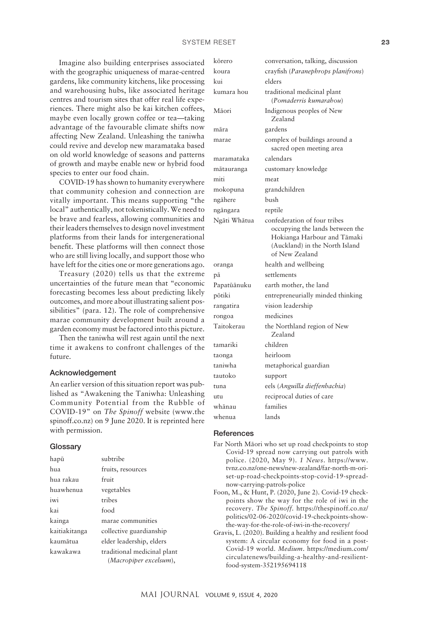Imagine also building enterprises associated with the geographic uniqueness of marae-centred gardens, like community kitchens, like processing and warehousing hubs, like associated heritage centres and tourism sites that offer real life experiences. There might also be kai kitchen coffees, maybe even locally grown coffee or tea—taking advantage of the favourable climate shifts now affecting New Zealand. Unleashing the taniwha could revive and develop new maramataka based on old world knowledge of seasons and patterns of growth and maybe enable new or hybrid food species to enter our food chain.

COVID-19 has shown to humanity everywhere that community cohesion and connection are vitally important. This means supporting "the local" authentically, not tokenistically. We need to be brave and fearless, allowing communities and their leaders themselves to design novel investment platforms from their lands for intergenerational benefit. These platforms will then connect those who are still living locally, and support those who have left for the cities one or more generations ago.

Treasury (2020) tells us that the extreme uncertainties of the future mean that "economic forecasting becomes less about predicting likely outcomes, and more about illustrating salient possibilities" (para. 12). The role of comprehensive marae community development built around a garden economy must be factored into this picture.

Then the taniwha will rest again until the next time it awakens to confront challenges of the future.

#### Acknowledgement

An earlier version of this situation report was published as "Awakening the Taniwha: Unleashing Community Potential from the Rubble of COVID-19" on *The Spinoff* website (www.the spinoff.co.nz) on 9 June 2020. It is reprinted here with permission.

#### **Glossary**

| hapū          | subtribe                                              |
|---------------|-------------------------------------------------------|
| hua           | fruits, resources                                     |
| hua rakau     | fruit                                                 |
| huawhenua     | vegetables                                            |
| iwi           | tribes                                                |
| kai           | food                                                  |
| kainga        | marae communities                                     |
| kaitiakitanga | collective guardianship                               |
| kaumātua      | elder leadership, elders                              |
| kawakawa      | traditional medicinal plant<br>(Macropiper excelsum), |

| kōrero       | conversation, talking, discussion                                                                                                                  |
|--------------|----------------------------------------------------------------------------------------------------------------------------------------------------|
| koura        | crayfish (Paranephrops planifrons)                                                                                                                 |
| kui          | elders                                                                                                                                             |
| kumara hou   | traditional medicinal plant<br>(Pomaderris kumarahou)                                                                                              |
| Māori        | Indigenous peoples of New<br>Zealand                                                                                                               |
| māra         | gardens                                                                                                                                            |
| marae        | complex of buildings around a<br>sacred open meeting area                                                                                          |
| maramataka   | calendars                                                                                                                                          |
| mātauranga   | customary knowledge                                                                                                                                |
| miti         | meat                                                                                                                                               |
| mokopuna     | grandchildren                                                                                                                                      |
| ngāhere      | bush                                                                                                                                               |
| ngāngara     | reptile                                                                                                                                            |
| Ngāti Whātua | confederation of four tribes<br>occupying the lands between the<br>Hokianga Harbour and Tāmaki<br>(Auckland) in the North Island<br>of New Zealand |
| oranga       | health and wellbeing                                                                                                                               |
| рā           | settlements                                                                                                                                        |
| Papatūānuku  | earth mother, the land                                                                                                                             |
| pōtiki       | entrepreneurially minded thinking                                                                                                                  |
| rangatira    | vision leadership                                                                                                                                  |
| rongoa       | medicines                                                                                                                                          |
| Taitokerau   | the Northland region of New<br>Zealand                                                                                                             |
| tamariki     | children                                                                                                                                           |
| taonga       | heirloom                                                                                                                                           |
| taniwha      | metaphorical guardian                                                                                                                              |
| tautoko      | support                                                                                                                                            |
| tuna         | eels (Anguilla dieffenbachia)                                                                                                                      |
| utu          | reciprocal duties of care                                                                                                                          |
| whānau       | families                                                                                                                                           |
| whenua       | lands                                                                                                                                              |

#### **References**

- Far North Mäori who set up road checkpoints to stop Covid-19 spread now carrying out patrols with police. (2020, May 9). *1 News*. [https://www.](https://www.tvnz.co.nz/one-news/new-zealand/far-north-m-ori-set-up-road-checkpoints-stop-covid-19-spread-now-carrying-patrols-police) [tvnz.co.nz/one-news/new-zealand/far-north-m-ori](https://www.tvnz.co.nz/one-news/new-zealand/far-north-m-ori-set-up-road-checkpoints-stop-covid-19-spread-now-carrying-patrols-police)[set-up-road-checkpoints-stop-covid-19-spread](https://www.tvnz.co.nz/one-news/new-zealand/far-north-m-ori-set-up-road-checkpoints-stop-covid-19-spread-now-carrying-patrols-police)[now-carrying-patrols-police](https://www.tvnz.co.nz/one-news/new-zealand/far-north-m-ori-set-up-road-checkpoints-stop-covid-19-spread-now-carrying-patrols-police)
- Foon, M., & Hunt, P. (2020, June 2). Covid-19 checkpoints show the way for the role of iwi in the recovery. *The Spinoff.* [https://thespinoff.co.nz/](https://thespinoff.co.nz/politics/02-06-2020/covid-19-checkpoints-show-the-way-for-the-role-of-iwi-in-the-recovery/) [politics/02-06-2020/covid-19-checkpoints-show](https://thespinoff.co.nz/politics/02-06-2020/covid-19-checkpoints-show-the-way-for-the-role-of-iwi-in-the-recovery/)[the-way-for-the-role-of-iwi-in-the-recovery/](https://thespinoff.co.nz/politics/02-06-2020/covid-19-checkpoints-show-the-way-for-the-role-of-iwi-in-the-recovery/)
- Gravis, L. (2020). Building a healthy and resilient food system: A circular economy for food in a post-Covid-19 world. *Medium*. [https://medium.com/](https://medium.com/circulatenews/building-a-healthy-and-resilient-food-system-352195694118) [circulatenews/building-a-healthy-and-resilient](https://medium.com/circulatenews/building-a-healthy-and-resilient-food-system-352195694118)[food-system-352195694118](https://medium.com/circulatenews/building-a-healthy-and-resilient-food-system-352195694118)